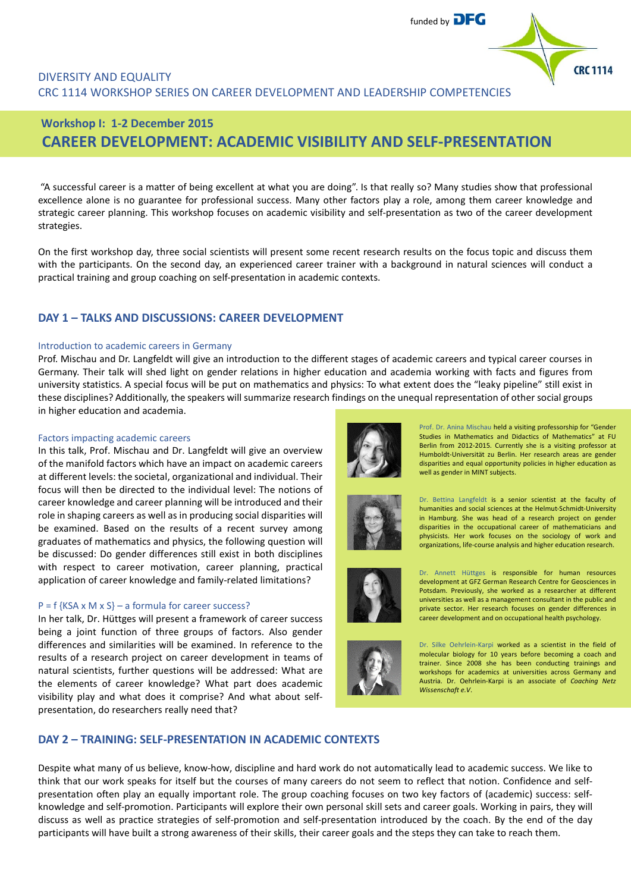

## DIVERSITY AND EQUALITY CRC 1114 WORKSHOP SERIES ON CAREER DEVELOPMENT AND LEADERSHIP COMPETENCIES

# **Workshop I: 1-2 December 2015 CAREER DEVELOPMENT: ACADEMIC VISIBILITY AND SELF-PRESENTATION**

"A successful career is a matter of being excellent at what you are doing". Is that really so? Many studies show that professional excellence alone is no guarantee for professional success. Many other factors play a role, among them career knowledge and strategic career planning. This workshop focuses on academic visibility and self-presentation as two of the career development strategies.

On the first workshop day, three social scientists will present some recent research results on the focus topic and discuss them with the participants. On the second day, an experienced career trainer with a background in natural sciences will conduct a practical training and group coaching on self-presentation in academic contexts.

## **DAY 1 – TALKS AND DISCUSSIONS: CAREER DEVELOPMENT**

#### Introduction to academic careers in Germany

Prof. Mischau and Dr. Langfeldt will give an introduction to the different stages of academic careers and typical career courses in Germany. Their talk will shed light on gender relations in higher education and academia working with facts and figures from university statistics. A special focus will be put on mathematics and physics: To what extent does the "leaky pipeline" still exist in these disciplines? Additionally, the speakers will summarize research findings on the unequal representation of other social groups in higher education and academia.

#### Factors impacting academic careers

In this talk, Prof. Mischau and Dr. Langfeldt will give an overview of the manifold factors which have an impact on academic careers at different levels: the societal, organizational and individual. Their focus will then be directed to the individual level: The notions of career knowledge and career planning will be introduced and their role in shaping careers as well as in producing social disparities will be examined. Based on the results of a recent survey among graduates of mathematics and physics, the following question will be discussed: Do gender differences still exist in both disciplines with respect to career motivation, career planning, practical application of career knowledge and family-related limitations?

#### $P = f$  {KSA x M x S} – a formula for career success?

In her talk, Dr. Hüttges will present a framework of career success being a joint function of three groups of factors. Also gender differences and similarities will be examined. In reference to the results of a research project on career development in teams of natural scientists, further questions will be addressed: What are the elements of career knowledge? What part does academic visibility play and what does it comprise? And what about selfpresentation, do researchers really need that?



Prof. Dr. Anina Mischau held a visiting professorship for "Gender Studies in Mathematics and Didactics of Mathematics" at FU Berlin from 2012-2015. Currently she is a visiting professor at Humboldt-Universität zu Berlin. Her research areas are gender disparities and equal opportunity policies in higher education as well as gender in MINT subjects.



Dr. Bettina Langfeldt is a senior scientist at the faculty of humanities and social sciences at the Helmut-Schmidt-University in Hamburg. She was head of a research project on gender disparities in the occupational career of mathematicians and physicists. Her work focuses on the sociology of work and organizations, life-course analysis and higher education research.



Dr. Annett Hüttges is responsible for human resources development at GFZ German Research Centre for Geosciences in Potsdam. Previously, she worked as a researcher at different universities as well as a management consultant in the public and private sector. Her research focuses on gender differences in career development and on occupational health psychology.



Dr. Silke Oehrlein-Karpi worked as a scientist in the field of molecular biology for 10 years before becoming a coach and trainer. Since 2008 she has been conducting trainings and workshops for academics at universities across Germany and Austria. Dr. Oehrlein-Karpi is an associate of *Coaching Netz Wissenschaft e.V*.

## **DAY 2 – TRAINING: SELF-PRESENTATION IN ACADEMIC CONTEXTS**

Despite what many of us believe, know-how, discipline and hard work do not automatically lead to academic success. We like to think that our work speaks for itself but the courses of many careers do not seem to reflect that notion. Confidence and selfpresentation often play an equally important role. The group coaching focuses on two key factors of (academic) success: selfknowledge and self-promotion. Participants will explore their own personal skill sets and career goals. Working in pairs, they will discuss as well as practice strategies of self-promotion and self-presentation introduced by the coach. By the end of the day participants will have built a strong awareness of their skills, their career goals and the steps they can take to reach them.